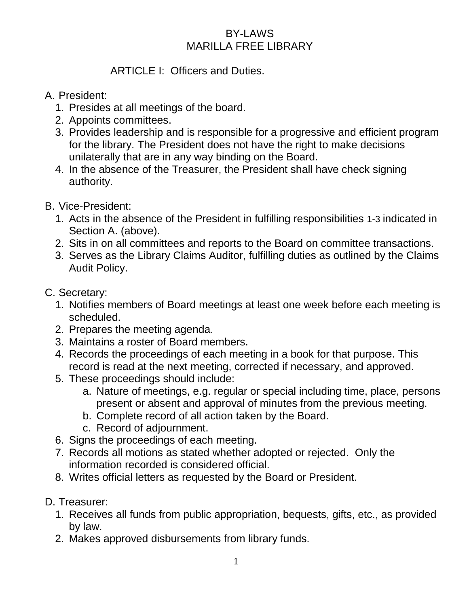#### BY-LAWS MARILLA FREE LIBRARY

## ARTICLE I: Officers and Duties.

### A. President:

- 1. Presides at all meetings of the board.
- 2. Appoints committees.
- 3. Provides leadership and is responsible for a progressive and efficient program for the library. The President does not have the right to make decisions unilaterally that are in any way binding on the Board.
- 4. In the absence of the Treasurer, the President shall have check signing authority.

# B. Vice-President:

- 1. Acts in the absence of the President in fulfilling responsibilities 1-3 indicated in Section A. (above).
- 2. Sits in on all committees and reports to the Board on committee transactions.
- 3. Serves as the Library Claims Auditor, fulfilling duties as outlined by the Claims Audit Policy.
- C. Secretary:
	- 1. Notifies members of Board meetings at least one week before each meeting is scheduled.
	- 2. Prepares the meeting agenda.
	- 3. Maintains a roster of Board members.
	- 4. Records the proceedings of each meeting in a book for that purpose. This record is read at the next meeting, corrected if necessary, and approved.
	- 5. These proceedings should include:
		- a. Nature of meetings, e.g. regular or special including time, place, persons present or absent and approval of minutes from the previous meeting.
		- b. Complete record of all action taken by the Board.
		- c. Record of adjournment.
	- 6. Signs the proceedings of each meeting.
	- 7. Records all motions as stated whether adopted or rejected. Only the information recorded is considered official.
	- 8. Writes official letters as requested by the Board or President.
- D. Treasurer:
	- 1. Receives all funds from public appropriation, bequests, gifts, etc., as provided by law.
	- 2. Makes approved disbursements from library funds.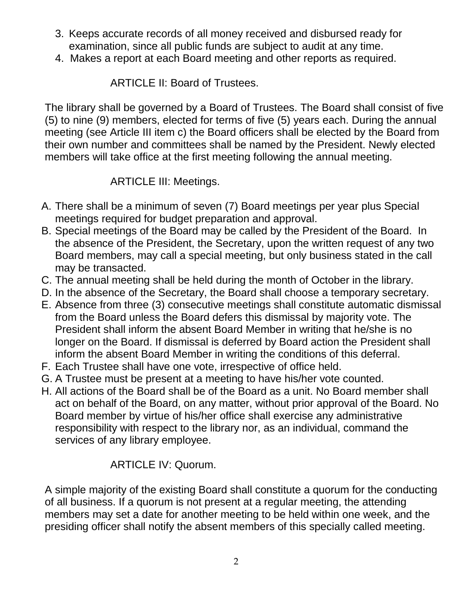- 3. Keeps accurate records of all money received and disbursed ready for examination, since all public funds are subject to audit at any time.
- 4. Makes a report at each Board meeting and other reports as required.

ARTICLE II: Board of Trustees.

The library shall be governed by a Board of Trustees. The Board shall consist of five (5) to nine (9) members, elected for terms of five (5) years each. During the annual meeting (see Article III item c) the Board officers shall be elected by the Board from their own number and committees shall be named by the President. Newly elected members will take office at the first meeting following the annual meeting.

# ARTICLE III: Meetings.

- A. There shall be a minimum of seven (7) Board meetings per year plus Special meetings required for budget preparation and approval.
- B. Special meetings of the Board may be called by the President of the Board. In the absence of the President, the Secretary, upon the written request of any two Board members, may call a special meeting, but only business stated in the call may be transacted.
- C. The annual meeting shall be held during the month of October in the library.
- D. In the absence of the Secretary, the Board shall choose a temporary secretary.
- E. Absence from three (3) consecutive meetings shall constitute automatic dismissal from the Board unless the Board defers this dismissal by majority vote. The President shall inform the absent Board Member in writing that he/she is no longer on the Board. If dismissal is deferred by Board action the President shall inform the absent Board Member in writing the conditions of this deferral.
- F. Each Trustee shall have one vote, irrespective of office held.
- G. A Trustee must be present at a meeting to have his/her vote counted.
- H. All actions of the Board shall be of the Board as a unit. No Board member shall act on behalf of the Board, on any matter, without prior approval of the Board. No Board member by virtue of his/her office shall exercise any administrative responsibility with respect to the library nor, as an individual, command the services of any library employee.

# ARTICLE IV: Quorum.

A simple majority of the existing Board shall constitute a quorum for the conducting of all business. If a quorum is not present at a regular meeting, the attending members may set a date for another meeting to be held within one week, and the presiding officer shall notify the absent members of this specially called meeting.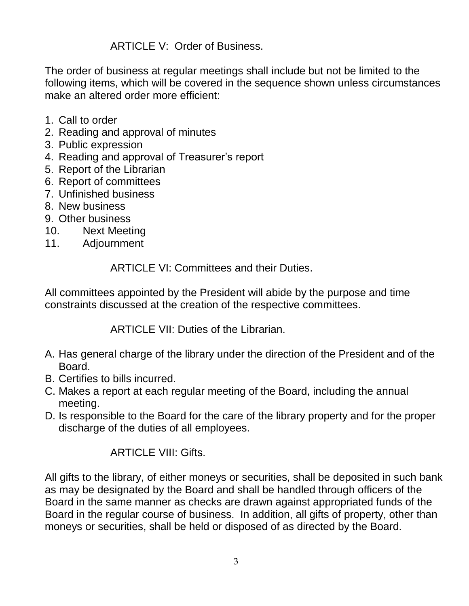ARTICLE V: Order of Business.

The order of business at regular meetings shall include but not be limited to the following items, which will be covered in the sequence shown unless circumstances make an altered order more efficient:

- 1. Call to order
- 2. Reading and approval of minutes
- 3. Public expression
- 4. Reading and approval of Treasurer's report
- 5. Report of the Librarian
- 6. Report of committees
- 7. Unfinished business
- 8. New business
- 9. Other business
- 10. Next Meeting
- 11. Adjournment

ARTICLE VI: Committees and their Duties.

All committees appointed by the President will abide by the purpose and time constraints discussed at the creation of the respective committees.

ARTICLE VII: Duties of the Librarian.

- A. Has general charge of the library under the direction of the President and of the Board.
- B. Certifies to bills incurred.
- C. Makes a report at each regular meeting of the Board, including the annual meeting.
- D. Is responsible to the Board for the care of the library property and for the proper discharge of the duties of all employees.

### ARTICLE VIII: Gifts.

All gifts to the library, of either moneys or securities, shall be deposited in such bank as may be designated by the Board and shall be handled through officers of the Board in the same manner as checks are drawn against appropriated funds of the Board in the regular course of business. In addition, all gifts of property, other than moneys or securities, shall be held or disposed of as directed by the Board.